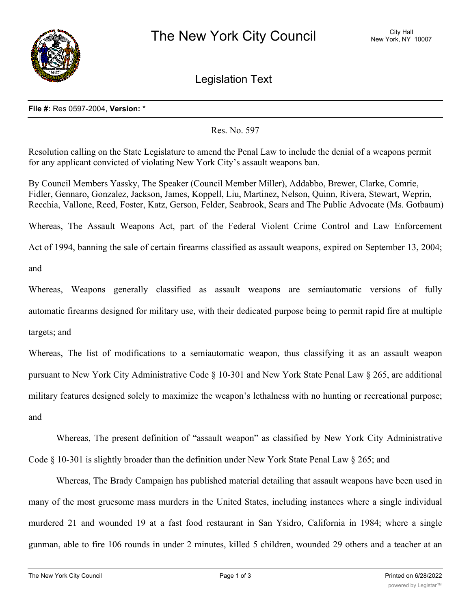

Legislation Text

## **File #:** Res 0597-2004, **Version:** \*

Res. No. 597

Resolution calling on the State Legislature to amend the Penal Law to include the denial of a weapons permit for any applicant convicted of violating New York City's assault weapons ban.

By Council Members Yassky, The Speaker (Council Member Miller), Addabbo, Brewer, Clarke, Comrie, Fidler, Gennaro, Gonzalez, Jackson, James, Koppell, Liu, Martinez, Nelson, Quinn, Rivera, Stewart, Weprin, Recchia, Vallone, Reed, Foster, Katz, Gerson, Felder, Seabrook, Sears and The Public Advocate (Ms. Gotbaum)

Whereas, The Assault Weapons Act, part of the Federal Violent Crime Control and Law Enforcement Act of 1994, banning the sale of certain firearms classified as assault weapons, expired on September 13, 2004;

and

Whereas, Weapons generally classified as assault weapons are semiautomatic versions of fully automatic firearms designed for military use, with their dedicated purpose being to permit rapid fire at multiple targets; and

Whereas, The list of modifications to a semiautomatic weapon, thus classifying it as an assault weapon pursuant to New York City Administrative Code § 10-301 and New York State Penal Law § 265, are additional military features designed solely to maximize the weapon's lethalness with no hunting or recreational purpose; and

Whereas, The present definition of "assault weapon" as classified by New York City Administrative Code § 10-301 is slightly broader than the definition under New York State Penal Law § 265; and

Whereas, The Brady Campaign has published material detailing that assault weapons have been used in many of the most gruesome mass murders in the United States, including instances where a single individual murdered 21 and wounded 19 at a fast food restaurant in San Ysidro, California in 1984; where a single gunman, able to fire 106 rounds in under 2 minutes, killed 5 children, wounded 29 others and a teacher at an